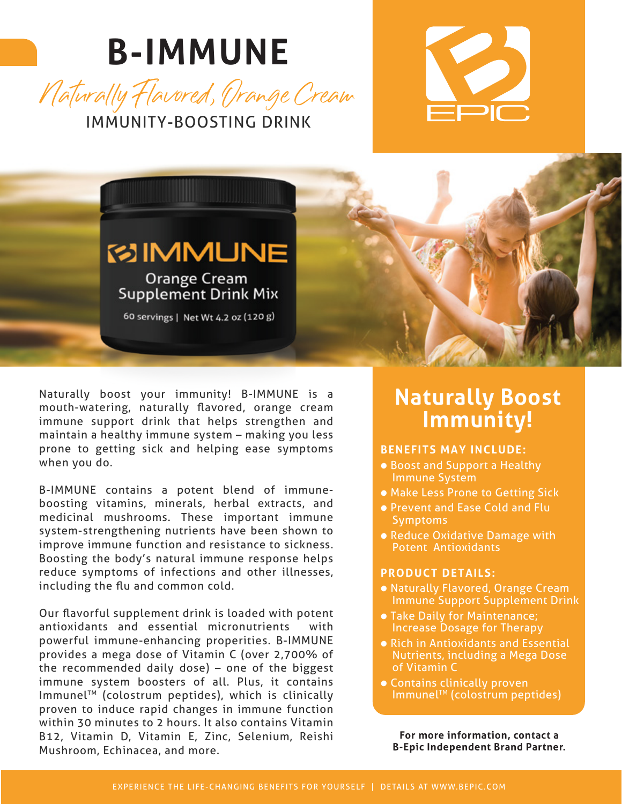# **B-IMMUNE**







Naturally boost your immunity! B-IMMUNE is a mouth-watering, naturally flavored, orange cream immune support drink that helps strengthen and maintain a healthy immune system – making you less prone to getting sick and helping ease symptoms when you do.

B-IMMUNE contains a potent blend of immuneboosting vitamins, minerals, herbal extracts, and medicinal mushrooms. These important immune system-strengthening nutrients have been shown to improve immune function and resistance to sickness. Boosting the body's natural immune response helps reduce symptoms of infections and other illnesses, including the flu and common cold.

Our flavorful supplement drink is loaded with potent antioxidants and essential micronutrients with powerful immune-enhancing properities. B-IMMUNE provides a mega dose of Vitamin C (over 2,700% of the recommended daily dose) – one of the biggest immune system boosters of all. Plus, it contains ImmunelTM (colostrum peptides), which is clinically proven to induce rapid changes in immune function within 30 minutes to 2 hours. It also contains Vitamin B12, Vitamin D, Vitamin E, Zinc, Selenium, Reishi Mushroom, Echinacea, and more.

### **Naturally Boost Immunity!**

#### **BENEFITS MAY INCLUDE:**

- Boost and Support a Healthy Immune System
- Make Less Prone to Getting Sick
- Prevent and Ease Cold and Flu **Symptoms**
- Reduce Oxidative Damage with Potent Antioxidants

#### **PRODUCT DETAILS:**

- Naturally Flavored, Orange Cream Immune Support Supplement Drink
- Take Daily for Maintenance; Increase Dosage for Therapy
- Rich in Antioxidants and Essential Nutrients, including a Mega Dose of Vitamin C
- Contains clinically proven ImmunelTM (colostrum peptides)

**For more information, contact a B-Epic Independent Brand Partner.**